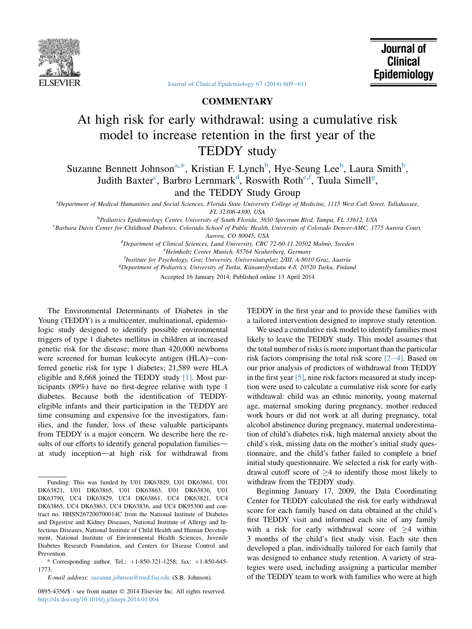

Journal of **Clinical Epidemiology** 

[Journal of Clinical Epidemiology 67 \(2014\) 609](http://dx.doi.org/10.1016/j.jclinepi.2014.01.004)-[611](http://dx.doi.org/10.1016/j.jclinepi.2014.01.004)

## **COMMENTARY**

## At high risk for early withdrawal: using a cumulative risk model to increase retention in the first year of the TEDDY study

Suzanne Bennett Johnson<sup>a,\*</sup>, Kristian F. Lynch<sup>b</sup>, Hye-Seung Lee<sup>b</sup>, Laura Smith<sup>b</sup>, Judith Baxter<sup>c</sup>, Barbro Lernmark<sup>d</sup>, Roswith Roth<sup>e,f</sup>, Tuula Simell<sup>g</sup>, and the TEDDY Study Group

<sup>a</sup> Department of Medical Humanities and Social Sciences, Florida State University College of Medicine, 1115 West Call Street, Tallahassee,

FL 32306-4300, USA

**b**<br>Pediatrics Epidemiology Center, University of South Florida, 3650 Spectrum Blvd, Tampa, FL 33612, USA

c Barbara Davis Center for Childhood Diabetes, Colorado School of Public Health, University of Colorado Denver-AMC, 1775 Aurora Court,

Aurora, CO 80045, USA

<sup>d</sup>Department of Clinical Sciences, Lund University, CRC 72-60-11 20502 Malmö, Sweden<br><sup>€</sup>Helmholtz Center Munich, 85764 Nauberberg, Germany

Helmholtz Center Munich, 85764 Neuherberg, Germany <sup>f</sup>Institute for Psychology, Graz University, Universitatsplatz 2/III, A-8010 Graz, Austria

<sup>g</sup>Department of Pediatrics, University of Turku, Kiinamyllynkatu 4-8, 20520 Turku, Finland

Accepted 16 January 2014; Published online 13 April 2014

The Environmental Determinants of Diabetes in the Young (TEDDY) is a multicenter, multinational, epidemiologic study designed to identify possible environmental triggers of type 1 diabetes mellitus in children at increased genetic risk for the disease; more than 420,000 newborns were screened for human leukocyte antigen (HLA)-conferred genetic risk for type 1 diabetes; 21,589 were HLA eligible and 8,668 joined the TEDDY study [\[1\]](#page-1-0). Most participants (89%) have no first-degree relative with type 1 diabetes. Because both the identification of TEDDYeligible infants and their participation in the TEDDY are time consuming and expensive for the investigators, families, and the funder, loss of these valuable participants from TEDDY is a major concern. We describe here the results of our efforts to identify general population familiesat study inception—at high risk for withdrawal from

Funding: This was funded by U01 DK63829, U01 DK63861, U01 DK63821, U01 DK63865, U01 DK63863, U01 DK63836, U01 DK63790, UC4 DK63829, UC4 DK63861, UC4 DK63821, UC4 DK63865, UC4 DK63863, UC4 DK63836, and UC4 DK95300 and contract no. HHSN267200700014C from the National Institute of Diabetes and Digestive and Kidney Diseases, National Institute of Allergy and Infectious Diseases, National Institute of Child Health and Human Development, National Institute of Environmental Health Sciences, Juvenile Diabetes Research Foundation, and Centers for Disease Control and Prevention.

\* Corresponding author. Tel.:  $+1-850-321-1258$ ; fax:  $+1-850-645-$ 1773.

E-mail address: [suzanne.johnson@med.fsu.edu](mailto:suzanne.johnson@med.fsu.edu) (S.B. Johnson).

TEDDY in the first year and to provide these families with a tailored intervention designed to improve study retention.

We used a cumulative risk model to identify families most likely to leave the TEDDY study. This model assumes that the total number of risks is more important than the particular risk factors comprising the total risk score  $[2-4]$  $[2-4]$ . Based on our prior analysis of predictors of withdrawal from TEDDY in the first year [\[5\],](#page-2-0) nine risk factors measured at study inception were used to calculate a cumulative risk score for early withdrawal: child was an ethnic minority, young maternal age, maternal smoking during pregnancy, mother reduced work hours or did not work at all during pregnancy, total alcohol abstinence during pregnancy, maternal underestimation of child's diabetes risk, high maternal anxiety about the child's risk, missing data on the mother's initial study questionnaire, and the child's father failed to complete a brief initial study questionnaire. We selected a risk for early withdrawal cutoff score of  $\geq$ 4 to identify those most likely to withdraw from the TEDDY study.

Beginning January 17, 2009, the Data Coordinating Center for TEDDY calculated the risk for early withdrawal score for each family based on data obtained at the child's first TEDDY visit and informed each site of any family with a risk for early withdrawal score of  $\geq 4$  within 3 months of the child's first study visit. Each site then developed a plan, individually tailored for each family that was designed to enhance study retention. A variety of strategies were used, including assigning a particular member of the TEDDY team to work with families who were at high

<sup>0895-4356/\$ -</sup> see front matter  $\odot$  2014 Elsevier Inc. All rights reserved. <http://dx.doi.org/10.1016/j.jclinepi.2014.01.004>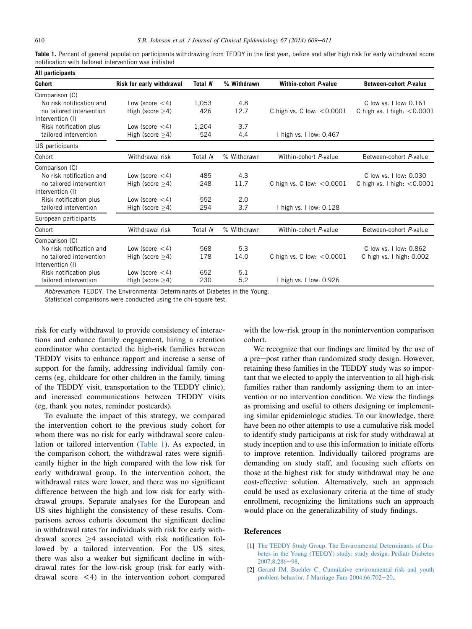<span id="page-1-0"></span>Table 1. Percent of general population participants withdrawing from TEDDY in the first year, before and after high risk for early withdrawal score notification with tailored intervention was initiated

| All participants         |                           |         |             |                              |                               |
|--------------------------|---------------------------|---------|-------------|------------------------------|-------------------------------|
| <b>Cohort</b>            | Risk for early withdrawal | Total N | % Withdrawn | Within-cohort P-value        | Between-cohort P-value        |
| Comparison (C)           |                           |         |             |                              |                               |
| No risk notification and | Low (score $<$ 4)         | 1,053   | 4.8         |                              | C low vs. 1 low: 0.161        |
| no tailored intervention | High (score $>4$ )        | 426     | 12.7        | C high vs. C low: $< 0.0001$ | C high vs. I high: $< 0.0001$ |
| Intervention (I)         |                           |         |             |                              |                               |
| Risk notification plus   | Low (score $<$ 4)         | 1,204   | 3.7         |                              |                               |
| tailored intervention    | High (score $>4$ )        | 524     | 4.4         | 1 high vs. 1 low: 0.467      |                               |
| US participants          |                           |         |             |                              |                               |
| Cohort                   | Withdrawal risk           | Total N | % Withdrawn | Within-cohort P-value        | Between-cohort P-value        |
| Comparison (C)           |                           |         |             |                              |                               |
| No risk notification and | Low (score $<$ 4)         | 485     | 4.3         |                              | C low ys. 1 low: 0.030        |
| no tailored intervention | High (score $>4$ )        | 248     | 11.7        | C high vs. C low: $< 0.0001$ | C high vs. I high: $< 0.0001$ |
| Intervention (I)         |                           |         |             |                              |                               |
| Risk notification plus   | Low (score $<$ 4)         | 552     | 2.0         |                              |                               |
| tailored intervention    | High (score $>4$ )        | 294     | 3.7         | 1 high vs. 1 low: 0.128      |                               |
| European participants    |                           |         |             |                              |                               |
| Cohort                   | Withdrawal risk           | Total N | % Withdrawn | Within-cohort P-value        | Between-cohort P-value        |
| Comparison (C)           |                           |         |             |                              |                               |
| No risk notification and | Low (score $<$ 4)         | 568     | 5.3         |                              | C low vs. 1 low: 0.862        |
| no tailored intervention | High (score $>4$ )        | 178     | 14.0        | C high vs. C low: $< 0.0001$ | C high vs. I high: 0.002      |
| Intervention (I)         |                           |         |             |                              |                               |
| Risk notification plus   | Low (score $\lt 4$ )      | 652     | 5.1         |                              |                               |
| tailored intervention    | High (score $>4$ )        | 230     | 5.2         | I high vs. I low: 0.926      |                               |

Abbreviation: TEDDY, The Environmental Determinants of Diabetes in the Young.

Statistical comparisons were conducted using the chi-square test.

risk for early withdrawal to provide consistency of interactions and enhance family engagement, hiring a retention coordinator who contacted the high-risk families between TEDDY visits to enhance rapport and increase a sense of support for the family, addressing individual family concerns (eg, childcare for other children in the family, timing of the TEDDY visit, transportation to the TEDDY clinic), and increased communications between TEDDY visits (eg, thank you notes, reminder postcards).

To evaluate the impact of this strategy, we compared the intervention cohort to the previous study cohort for whom there was no risk for early withdrawal score calculation or tailored intervention (Table 1). As expected, in the comparison cohort, the withdrawal rates were significantly higher in the high compared with the low risk for early withdrawal group. In the intervention cohort, the withdrawal rates were lower, and there was no significant difference between the high and low risk for early withdrawal groups. Separate analyses for the European and US sites highlight the consistency of these results. Comparisons across cohorts document the significant decline in withdrawal rates for individuals with risk for early withdrawal scores  $>4$  associated with risk notification followed by a tailored intervention. For the US sites, there was also a weaker but significant decline in withdrawal rates for the low-risk group (risk for early withdrawal score  $\langle 4 \rangle$  in the intervention cohort compared

with the low-risk group in the nonintervention comparison cohort.

We recognize that our findings are limited by the use of a pre-post rather than randomized study design. However, retaining these families in the TEDDY study was so important that we elected to apply the intervention to all high-risk families rather than randomly assigning them to an intervention or no intervention condition. We view the findings as promising and useful to others designing or implementing similar epidemiologic studies. To our knowledge, there have been no other attempts to use a cumulative risk model to identify study participants at risk for study withdrawal at study inception and to use this information to initiate efforts to improve retention. Individually tailored programs are demanding on study staff, and focusing such efforts on those at the highest risk for study withdrawal may be one cost-effective solution. Alternatively, such an approach could be used as exclusionary criteria at the time of study enrollment, recognizing the limitations such an approach would place on the generalizability of study findings.

## References

- [1] [The TEDDY Study Group. The Environmental Determinants of Dia](http://refhub.elsevier.com/S0895-4356(14)00029-8/sref1)[betes in the Young \(TEDDY\) study: study design. Pediatr Diabetes](http://refhub.elsevier.com/S0895-4356(14)00029-8/sref1) 2007:8:286-98.
- [2] [Gerard JM, Buehler C. Cumulative environmental risk and youth](http://refhub.elsevier.com/S0895-4356(14)00029-8/sref2) problem behavior. J Marriage Fam  $2004;66:702-20$ .